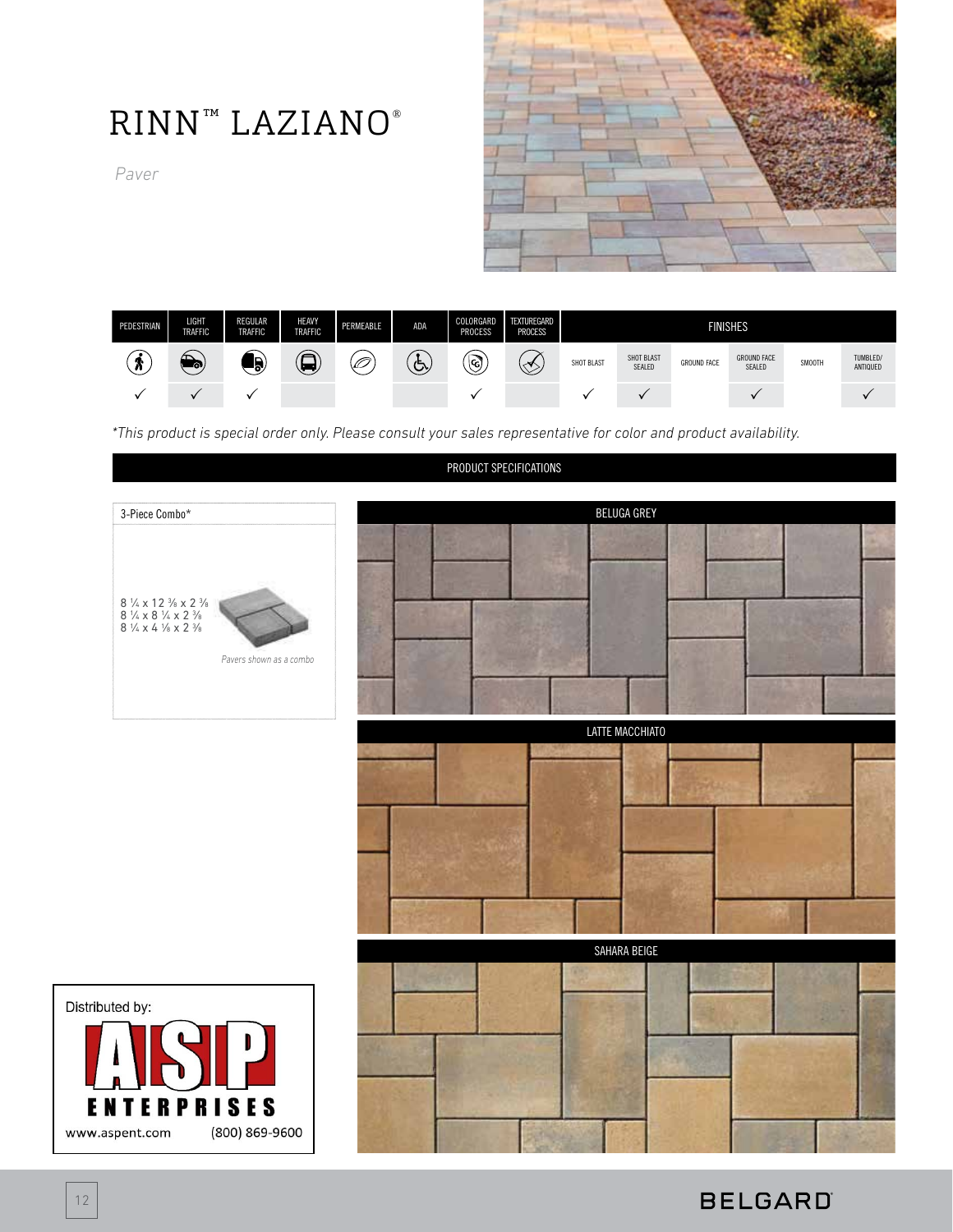

# RINN™ LAZIANO®

*Paver*



*\*This product is special order only. Please consult your sales representative for color and product availability.*

#### PRODUCT SPECIFICATIONS